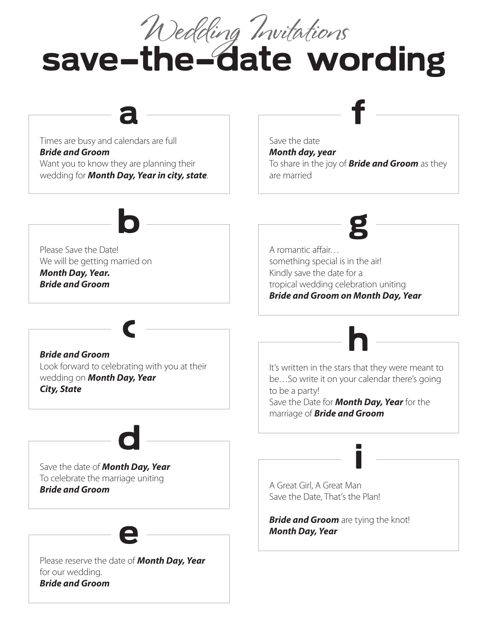save-the-date wording Wedding Invitations Times are busy and calendars are full *Bride and Groom* Want you to know they are planning their wedding for *Month Day, Year in city, state*. Save the date *Month day, year* To share in the joy of *Bride and Groom* as they are married Please reserve the date of *Month Day, Year* for our wedding. *Bride and Groom* Please Save the Date! We will be getting married on *Month Day, Year. Bride and Groom* Save the date of *Month Day, Year* To celebrate the marriage uniting *Bride and Groom Bride and Groom*  Look forward to celebrating with you at their wedding on *Month Day, Year City, State* A romantic affair… something special is in the air! Kindly save the date for a tropical wedding celebration uniting *Bride and Groom on Month Day, Year* It's written in the stars that they were meant to be…So write it on your calendar there's going to be a party! Save the Date for *Month Day, Year* for the marriage of *Bride and Groom*  $a \longrightarrow f$ e b d c g h A Great Girl, A Great Man Save the Date, That's the Plan! *Bride and Groom* are tying the knot! *Month Day, Year* i